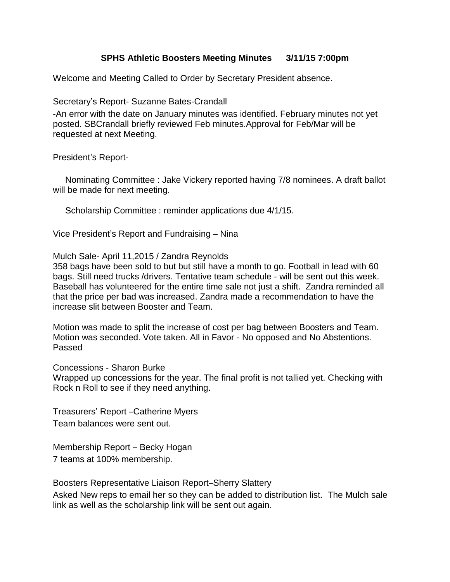## **SPHS Athletic Boosters Meeting Minutes 3/11/15 7:00pm**

Welcome and Meeting Called to Order by Secretary President absence.

Secretary's Report- Suzanne Bates-Crandall

-An error with the date on January minutes was identified. February minutes not yet posted. SBCrandall briefly reviewed Feb minutes.Approval for Feb/Mar will be requested at next Meeting.

President's Report-

 Nominating Committee : Jake Vickery reported having 7/8 nominees. A draft ballot will be made for next meeting.

Scholarship Committee : reminder applications due 4/1/15.

Vice President's Report and Fundraising – Nina

Mulch Sale- April 11,2015 / Zandra Reynolds

358 bags have been sold to but but still have a month to go. Football in lead with 60 bags. Still need trucks /drivers. Tentative team schedule - will be sent out this week. Baseball has volunteered for the entire time sale not just a shift. Zandra reminded all that the price per bad was increased. Zandra made a recommendation to have the increase slit between Booster and Team.

Motion was made to split the increase of cost per bag between Boosters and Team. Motion was seconded. Vote taken. All in Favor - No opposed and No Abstentions. Passed

Concessions - Sharon Burke

Wrapped up concessions for the year. The final profit is not tallied yet. Checking with Rock n Roll to see if they need anything.

Treasurers' Report –Catherine Myers Team balances were sent out.

Membership Report – Becky Hogan 7 teams at 100% membership.

Boosters Representative Liaison Report–Sherry Slattery

Asked New reps to email her so they can be added to distribution list. The Mulch sale link as well as the scholarship link will be sent out again.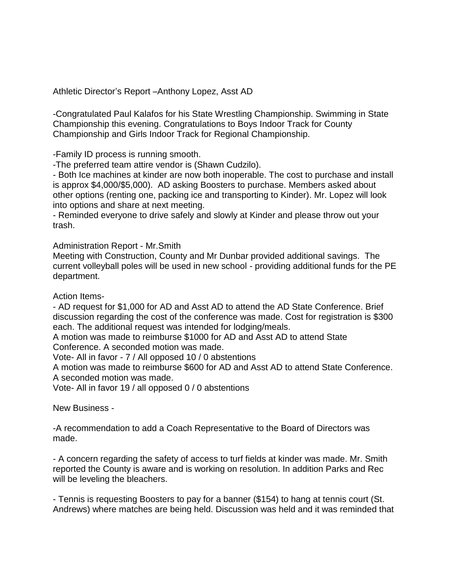Athletic Director's Report –Anthony Lopez, Asst AD

-Congratulated Paul Kalafos for his State Wrestling Championship. Swimming in State Championship this evening. Congratulations to Boys Indoor Track for County Championship and Girls Indoor Track for Regional Championship.

-Family ID process is running smooth.

-The preferred team attire vendor is (Shawn Cudzilo).

- Both Ice machines at kinder are now both inoperable. The cost to purchase and install is approx \$4,000/\$5,000). AD asking Boosters to purchase. Members asked about other options (renting one, packing ice and transporting to Kinder). Mr. Lopez will look into options and share at next meeting.

- Reminded everyone to drive safely and slowly at Kinder and please throw out your trash.

Administration Report - Mr.Smith

Meeting with Construction, County and Mr Dunbar provided additional savings. The current volleyball poles will be used in new school - providing additional funds for the PE department.

Action Items-

- AD request for \$1,000 for AD and Asst AD to attend the AD State Conference. Brief discussion regarding the cost of the conference was made. Cost for registration is \$300 each. The additional request was intended for lodging/meals.

A motion was made to reimburse \$1000 for AD and Asst AD to attend State Conference. A seconded motion was made.

Vote- All in favor - 7 / All opposed 10 / 0 abstentions

A motion was made to reimburse \$600 for AD and Asst AD to attend State Conference. A seconded motion was made.

Vote- All in favor 19 / all opposed 0 / 0 abstentions

New Business -

-A recommendation to add a Coach Representative to the Board of Directors was made.

- A concern regarding the safety of access to turf fields at kinder was made. Mr. Smith reported the County is aware and is working on resolution. In addition Parks and Rec will be leveling the bleachers.

- Tennis is requesting Boosters to pay for a banner (\$154) to hang at tennis court (St. Andrews) where matches are being held. Discussion was held and it was reminded that